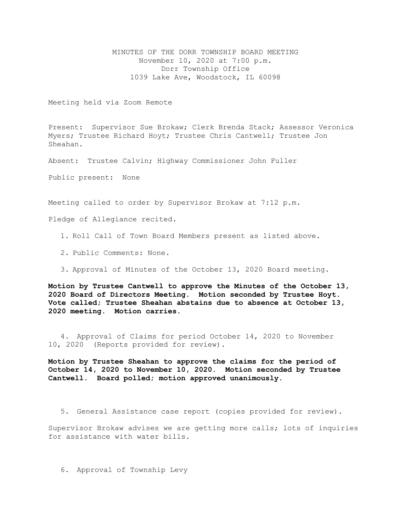MINUTES OF THE DORR TOWNSHIP BOARD MEETING November 10, 2020 at 7:00 p.m. Dorr Township Office 1039 Lake Ave, Woodstock, IL 60098

Meeting held via Zoom Remote

Present: Supervisor Sue Brokaw; Clerk Brenda Stack; Assessor Veronica Myers; Trustee Richard Hoyt; Trustee Chris Cantwell; Trustee Jon Sheahan.

Absent: Trustee Calvin; Highway Commissioner John Fuller

Public present: None

Meeting called to order by Supervisor Brokaw at 7:12 p.m.

Pledge of Allegiance recited.

- 1. Roll Call of Town Board Members present as listed above.
- 2. Public Comments: None.
- 3. Approval of Minutes of the October 13, 2020 Board meeting.

**Motion by Trustee Cantwell to approve the Minutes of the October 13, 2020 Board of Directors Meeting. Motion seconded by Trustee Hoyt. Vote called; Trustee Sheahan abstains due to absence at October 13, 2020 meeting. Motion carries.** 

4. Approval of Claims for period October 14, 2020 to November 10, 2020 (Reports provided for review).

**Motion by Trustee Sheahan to approve the claims for the period of October 14, 2020 to November 10, 2020. Motion seconded by Trustee Cantwell. Board polled; motion approved unanimously.**

5. General Assistance case report (copies provided for review).

Supervisor Brokaw advises we are getting more calls; lots of inquiries for assistance with water bills.

6. Approval of Township Levy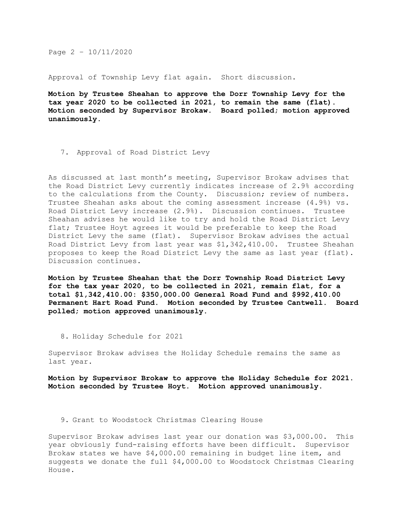Page 2 – 10/11/2020

Approval of Township Levy flat again. Short discussion.

**Motion by Trustee Sheahan to approve the Dorr Township Levy for the tax year 2020 to be collected in 2021, to remain the same (flat). Motion seconded by Supervisor Brokaw. Board polled; motion approved unanimously.**

7. Approval of Road District Levy

As discussed at last month's meeting, Supervisor Brokaw advises that the Road District Levy currently indicates increase of 2.9% according to the calculations from the County. Discussion; review of numbers. Trustee Sheahan asks about the coming assessment increase (4.9%) vs. Road District Levy increase (2.9%). Discussion continues. Trustee Sheahan advises he would like to try and hold the Road District Levy flat; Trustee Hoyt agrees it would be preferable to keep the Road District Levy the same (flat). Supervisor Brokaw advises the actual Road District Levy from last year was \$1,342,410.00. Trustee Sheahan proposes to keep the Road District Levy the same as last year (flat). Discussion continues.

**Motion by Trustee Sheahan that the Dorr Township Road District Levy for the tax year 2020, to be collected in 2021, remain flat, for a total \$1,342,410.00: \$350,000.00 General Road Fund and \$992,410.00 Permanent Hart Road Fund. Motion seconded by Trustee Cantwell. Board polled; motion approved unanimously.** 

8. Holiday Schedule for 2021

Supervisor Brokaw advises the Holiday Schedule remains the same as last year.

**Motion by Supervisor Brokaw to approve the Holiday Schedule for 2021. Motion seconded by Trustee Hoyt. Motion approved unanimously.**

9. Grant to Woodstock Christmas Clearing House

Supervisor Brokaw advises last year our donation was \$3,000.00. This year obviously fund-raising efforts have been difficult. Supervisor Brokaw states we have \$4,000.00 remaining in budget line item, and suggests we donate the full \$4,000.00 to Woodstock Christmas Clearing House.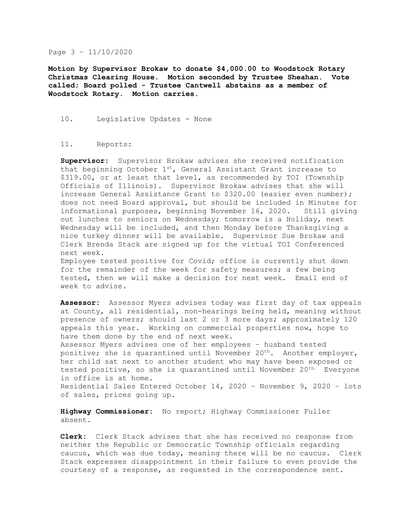## Page 3 – 11/10/2020

**Motion by Supervisor Brokaw to donate \$4,000.00 to Woodstock Rotary Christmas Clearing House. Motion seconded by Trustee Sheahan. Vote called; Board polled - Trustee Cantwell abstains as a member of Woodstock Rotary. Motion carries.** 

## 10. Legislative Updates - None

## 11. Reports:

**Supervisor:** Supervisor Brokaw advises she received notification that beginning October  $1^{st}$ , General Assistant Grant increase to \$319.00, or at least that level, as recommended by TOI (Township Officials of Illinois). Supervisor Brokaw advises that she will increase General Assistance Grant to \$320.00 (easier even number); does not need Board approval, but should be included in Minutes for informational purposes, beginning November 16, 2020. Still giving out lunches to seniors on Wednesday; tomorrow is a Holiday, next Wednesday will be included, and then Monday before Thanksgiving a nice turkey dinner will be available. Supervisor Sue Brokaw and Clerk Brenda Stack are signed up for the virtual TOI Conferenced next week.

Employee tested positive for Covid; office is currently shut down for the remainder of the week for safety measures; a few being tested, then we will make a decision for next week. Email end of week to advise.

**Assessor:** Assessor Myers advises today was first day of tax appeals at County, all residential, non-hearings being held, meaning without presence of owners; should last 2 or 3 more days; approximately 120 appeals this year. Working on commercial properties now, hope to have them done by the end of next week. Assessor Myers advises one of her employees – husband tested positive; she is quarantined until November  $20<sup>th</sup>$ . Another employer, her child sat next to another student who may have been exposed or tested positive, so she is quarantined until November  $20<sup>th</sup>$ . Everyone in office is at home. Residential Sales Entered October 14, 2020 – November 9, 2020 – lots of sales, prices going up.

**Highway Commissioner:** No report; Highway Commissioner Fuller absent.

**Clerk:** Clerk Stack advises that she has received no response from neither the Republic or Democratic Township officials regarding caucus, which was due today, meaning there will be no caucus. Clerk Stack expresses disappointment in their failure to even provide the courtesy of a response, as requested in the correspondence sent.